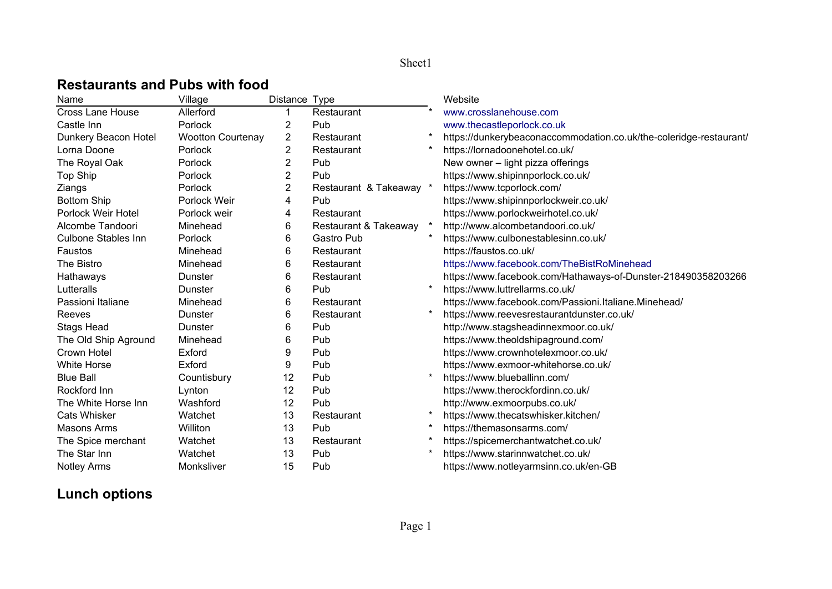## **Restaurants and Pubs with food**

| Name                       | Village                  | Distance Type |                         |         | Website                                                            |
|----------------------------|--------------------------|---------------|-------------------------|---------|--------------------------------------------------------------------|
| <b>Cross Lane House</b>    | Allerford                |               | Restaurant              |         | www.crosslanehouse.com                                             |
| Castle Inn                 | Porlock                  | 2             | Pub                     |         | www.thecastleporlock.co.uk                                         |
| Dunkery Beacon Hotel       | <b>Wootton Courtenay</b> | 2             | Restaurant              |         | https://dunkerybeaconaccommodation.co.uk/the-coleridge-restaurant/ |
| Lorna Doone                | Porlock                  | 2             | Restaurant              |         | https://lornadoonehotel.co.uk/                                     |
| The Royal Oak              | Porlock                  | 2             | Pub                     |         | New owner - light pizza offerings                                  |
| Top Ship                   | Porlock                  | 2             | Pub                     |         | https://www.shipinnporlock.co.uk/                                  |
| Ziangs                     | Porlock                  | 2             | Restaurant & Takeaway * |         | https://www.tcporlock.com/                                         |
| <b>Bottom Ship</b>         | Porlock Weir             | 4             | Pub                     |         | https://www.shipinnporlockweir.co.uk/                              |
| Porlock Weir Hotel         | Porlock weir             | 4             | Restaurant              |         | https://www.porlockweirhotel.co.uk/                                |
| Alcombe Tandoori           | Minehead                 | 6             | Restaurant & Takeaway   |         | http://www.alcombetandoori.co.uk/                                  |
| <b>Culbone Stables Inn</b> | Porlock                  | 6             | Gastro Pub              |         | https://www.culbonestablesinn.co.uk/                               |
| Faustos                    | Minehead                 | 6             | Restaurant              |         | https://faustos.co.uk/                                             |
| The Bistro                 | Minehead                 | 6             | Restaurant              |         | https://www.facebook.com/TheBistRoMinehead                         |
| Hathaways                  | Dunster                  | 6             | Restaurant              |         | https://www.facebook.com/Hathaways-of-Dunster-218490358203266      |
| Lutteralls                 | Dunster                  | 6             | Pub                     |         | https://www.luttrellarms.co.uk/                                    |
| Passioni Italiane          | Minehead                 | 6             | Restaurant              |         | https://www.facebook.com/Passioni.ltaliane.Minehead/               |
| Reeves                     | Dunster                  | 6             | Restaurant              | $\star$ | https://www.reevesrestaurantdunster.co.uk/                         |
| <b>Stags Head</b>          | Dunster                  | 6             | Pub                     |         | http://www.stagsheadinnexmoor.co.uk/                               |
| The Old Ship Aground       | Minehead                 | 6             | Pub                     |         | https://www.theoldshipaground.com/                                 |
| Crown Hotel                | Exford                   | 9             | Pub                     |         | https://www.crownhotelexmoor.co.uk/                                |
| <b>White Horse</b>         | Exford                   | 9             | Pub                     |         | https://www.exmoor-whitehorse.co.uk/                               |
| <b>Blue Ball</b>           | Countisbury              | 12            | Pub                     |         | https://www.blueballinn.com/                                       |
| Rockford Inn               | Lynton                   | 12            | Pub                     |         | https://www.therockfordinn.co.uk/                                  |
| The White Horse Inn        | Washford                 | 12            | Pub                     |         | http://www.exmoorpubs.co.uk/                                       |
| <b>Cats Whisker</b>        | Watchet                  | 13            | Restaurant              |         | https://www.thecatswhisker.kitchen/                                |
| <b>Masons Arms</b>         | Williton                 | 13            | Pub                     |         | https://themasonsarms.com/                                         |
| The Spice merchant         | Watchet                  | 13            | Restaurant              |         | https://spicemerchantwatchet.co.uk/                                |
| The Star Inn               | Watchet                  | 13            | Pub                     |         | https://www.starinnwatchet.co.uk/                                  |
| Notley Arms                | Monksliver               | 15            | Pub                     |         | https://www.notleyarmsinn.co.uk/en-GB                              |

## **Lunch options**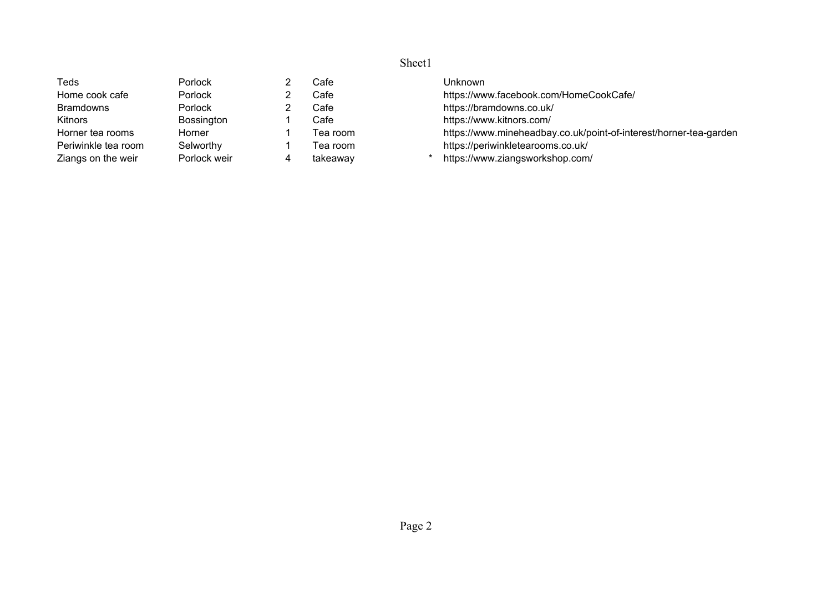| Teds                | Porlock      | Cafe      | Unknown                                                           |
|---------------------|--------------|-----------|-------------------------------------------------------------------|
| Home cook cafe      | Porlock      | Cafel     | https://www.facebook.com/HomeCookCafe/                            |
| <b>Bramdowns</b>    | Porlock      | Cafel     | https://bramdowns.co.uk/                                          |
| <b>Kitnors</b>      | Bossington   | Cafe      | https://www.kitnors.com/                                          |
| Horner tea rooms    | Horner       | Tea room. | https://www.mineheadbay.co.uk/point-of-interest/horner-tea-garden |
| Periwinkle tea room | Selworthy    | Tea room  | https://periwinkletearooms.co.uk/                                 |
| Ziangs on the weir  | Porlock weir | takeaway  | https://www.ziangsworkshop.com/                                   |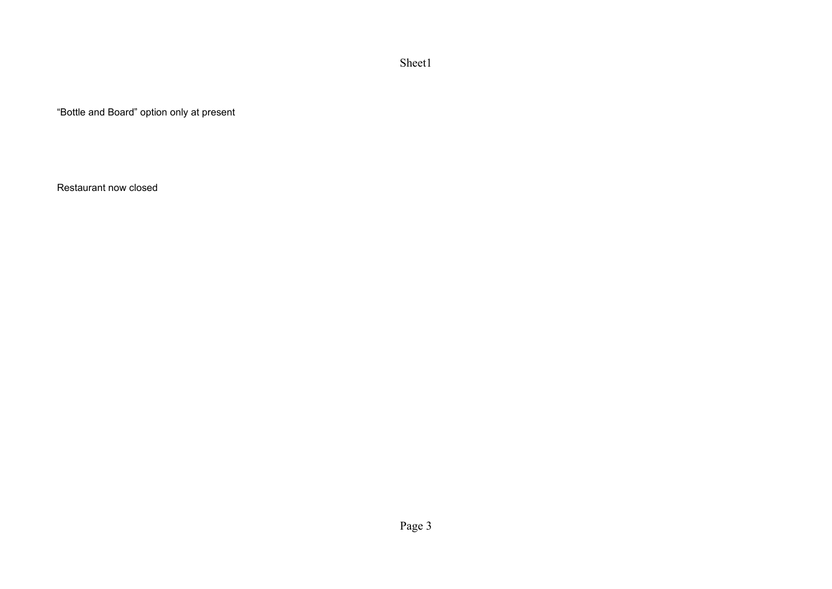"Bottle and Board" option only at present

Restaurant now closed